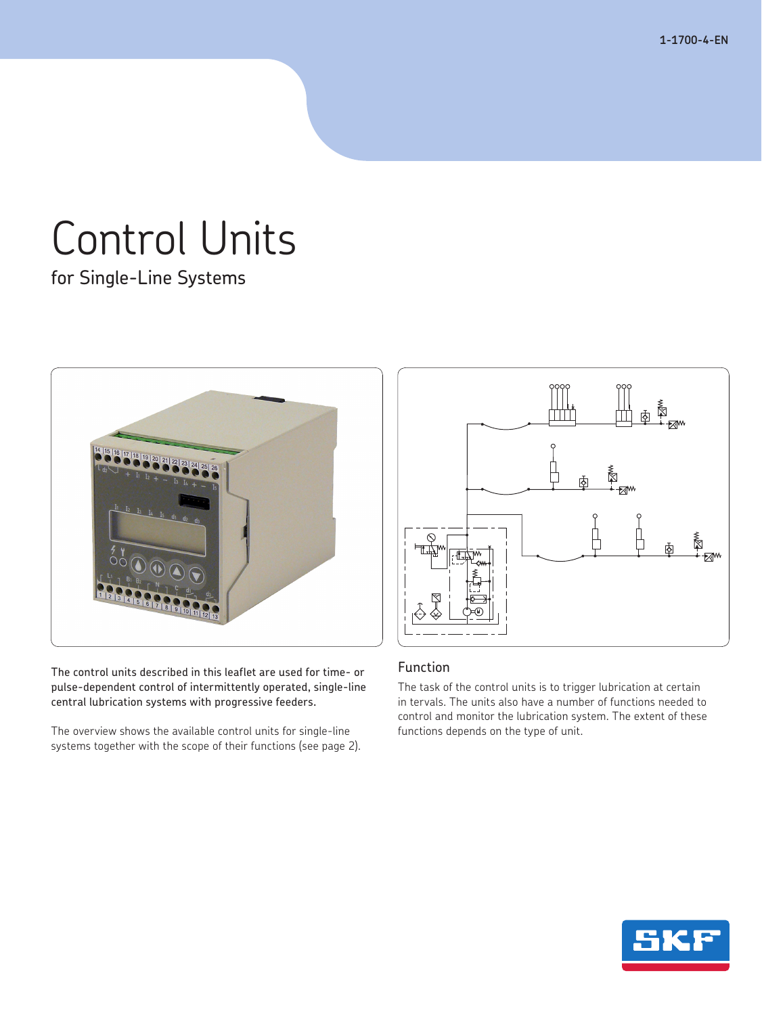**1-1700-4-EN**

# Control Units

for Single-Line Systems



The control units described in this leaflet are used for time- or pulse-dependent control of intermittently operated, single-line central lubrication systems with progressive feeders.

The overview shows the available control units for single-line systems together with the scope of their functions (see page 2).



# Function

The task of the control units is to trigger lubrication at certain in tervals. The units also have a number of functions needed to control and monitor the lubrication system. The extent of these functions depends on the type of unit.

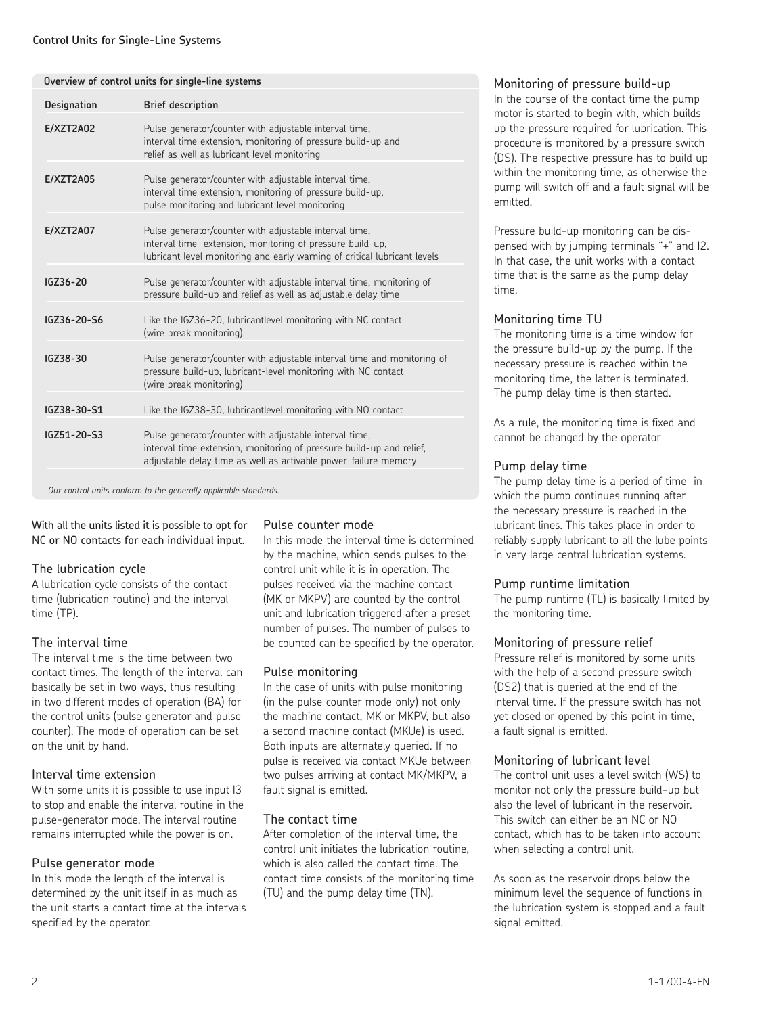|                    | Overview of control units for single-line systems                                                                                                                                                 |
|--------------------|---------------------------------------------------------------------------------------------------------------------------------------------------------------------------------------------------|
| <b>Designation</b> | <b>Brief description</b>                                                                                                                                                                          |
| <b>E/XZT2A02</b>   | Pulse generator/counter with adjustable interval time,<br>interval time extension, monitoring of pressure build-up and<br>relief as well as lubricant level monitoring                            |
| <b>E/XZT2A05</b>   | Pulse generator/counter with adjustable interval time,<br>interval time extension, monitoring of pressure build-up,<br>pulse monitoring and lubricant level monitoring                            |
| <b>E/XZT2A07</b>   | Pulse generator/counter with adjustable interval time,<br>interval time extension, monitoring of pressure build-up,<br>lubricant level monitoring and early warning of critical lubricant levels  |
| IGZ36-20           | Pulse generator/counter with adjustable interval time, monitoring of<br>pressure build-up and relief as well as adjustable delay time                                                             |
| IGZ36-20-S6        | Like the IGZ36-20, lubricantlevel monitoring with NC contact<br>(wire break monitoring)                                                                                                           |
| IGZ38-30           | Pulse generator/counter with adjustable interval time and monitoring of<br>pressure build-up, lubricant-level monitoring with NC contact<br>(wire break monitoring)                               |
| IGZ38-30-S1        | Like the IGZ38-30, lubricantlevel monitoring with NO contact                                                                                                                                      |
| IGZ51-20-S3        | Pulse generator/counter with adjustable interval time,<br>interval time extension, monitoring of pressure build-up and relief,<br>adjustable delay time as well as activable power-failure memory |
|                    | Our control units conform to the generally applicable standards.                                                                                                                                  |

With all the units listed it is possible to opt for NC or NO contacts for each individual input.

# The lubrication cycle

A lubrication cycle consists of the contact time (lubrication routine) and the interval time (TP).

# The interval time

The interval time is the time between two contact times. The length of the interval can basically be set in two ways, thus resulting in two different modes of operation (BA) for the control units (pulse generator and pulse counter). The mode of operation can be set on the unit by hand.

# Interval time extension

With some units it is possible to use input I3 to stop and enable the interval routine in the pulse-generator mode. The interval routine remains interrupted while the power is on.

# Pulse generator mode

In this mode the length of the interval is determined by the unit itself in as much as the unit starts a contact time at the intervals specified by the operator.

# Pulse counter mode

In this mode the interval time is determined by the machine, which sends pulses to the control unit while it is in operation. The pulses received via the machine contact (MK or MKPV) are counted by the control unit and lubrication triggered after a preset number of pulses. The number of pulses to be counted can be specified by the operator.

# Pulse monitoring

In the case of units with pulse monitoring (in the pulse counter mode only) not only the machine contact, MK or MKPV, but also a second machine contact (MKUe) is used. Both inputs are alternately queried. If no pulse is received via contact MKUe between two pulses arriving at contact MK/MKPV, a fault signal is emitted.

# The contact time

After completion of the interval time, the control unit initiates the lubrication routine, which is also called the contact time. The contact time consists of the monitoring time (TU) and the pump delay time (TN).

# Monitoring of pressure build-up

In the course of the contact time the pump motor is started to begin with, which builds up the pressure required for lubrication. This procedure is monitored by a pressure switch (DS). The respective pressure has to build up within the monitoring time, as otherwise the pump will switch off and a fault signal will be emitted.

Pressure build-up monitoring can be dispensed with by jumping terminals "+" and I2. In that case, the unit works with a contact time that is the same as the pump delay time.

# Monitoring time TU

The monitoring time is a time window for the pressure build-up by the pump. If the necessary pressure is reached within the monitoring time, the latter is terminated. The pump delay time is then started.

As a rule, the monitoring time is fixed and cannot be changed by the operator

# Pump delay time

The pump delay time is a period of time in which the pump continues running after the necessary pressure is reached in the lubricant lines. This takes place in order to reliably supply lubricant to all the lube points in very large central lubrication systems.

# Pump runtime limitation

The pump runtime (TL) is basically limited by the monitoring time.

# Monitoring of pressure relief

Pressure relief is monitored by some units with the help of a second pressure switch (DS2) that is queried at the end of the interval time. If the pressure switch has not yet closed or opened by this point in time, a fault signal is emitted.

# Monitoring of lubricant level

The control unit uses a level switch (WS) to monitor not only the pressure build-up but also the level of lubricant in the reservoir. This switch can either be an NC or NO contact, which has to be taken into account when selecting a control unit.

As soon as the reservoir drops below the minimum level the sequence of functions in the lubrication system is stopped and a fault signal emitted.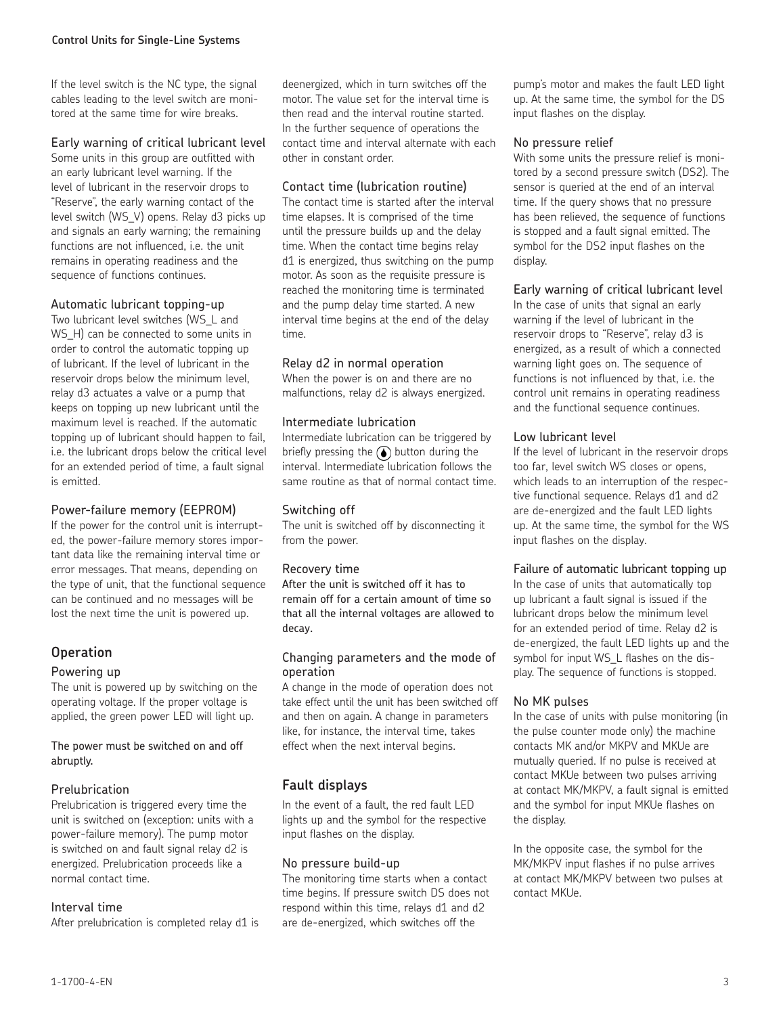If the level switch is the NC type, the signal cables leading to the level switch are monitored at the same time for wire breaks.

# Early warning of critical lubricant level

Some units in this group are outfitted with an early lubricant level warning. If the level of lubricant in the reservoir drops to "Reserve", the early warning contact of the level switch (WS\_V) opens. Relay d3 picks up and signals an early warning; the remaining functions are not influenced, i.e. the unit remains in operating readiness and the sequence of functions continues.

## Automatic lubricant topping-up

Two lubricant level switches (WS\_L and WS H) can be connected to some units in order to control the automatic topping up of lubricant. If the level of lubricant in the reservoir drops below the minimum level, relay d3 actuates a valve or a pump that keeps on topping up new lubricant until the maximum level is reached. If the automatic topping up of lubricant should happen to fail, i.e. the lubricant drops below the critical level for an extended period of time, a fault signal is emitted.

## Power-failure memory (EEPROM)

If the power for the control unit is interrupted, the power-failure memory stores important data like the remaining interval time or error messages. That means, depending on the type of unit, that the functional sequence can be continued and no messages will be lost the next time the unit is powered up.

# **Operation**

#### Powering up

The unit is powered up by switching on the operating voltage. If the proper voltage is applied, the green power LED will light up.

The power must be switched on and off abruptly.

# Prelubrication

Prelubrication is triggered every time the unit is switched on (exception: units with a power-failure memory). The pump motor is switched on and fault signal relay d2 is energized. Prelubrication proceeds like a normal contact time.

#### Interval time

After prelubrication is completed relay d1 is

deenergized, which in turn switches off the motor. The value set for the interval time is then read and the interval routine started. In the further sequence of operations the contact time and interval alternate with each other in constant order.

## Contact time (lubrication routine)

The contact time is started after the interval time elapses. It is comprised of the time until the pressure builds up and the delay time. When the contact time begins relay d1 is energized, thus switching on the pump motor. As soon as the requisite pressure is reached the monitoring time is terminated and the pump delay time started. A new interval time begins at the end of the delay time.

## Relay d2 in normal operation

When the power is on and there are no malfunctions, relay d2 is always energized.

## Intermediate lubrication

Intermediate lubrication can be triggered by briefly pressing the  $\odot$  button during the interval. Intermediate lubrication follows the same routine as that of normal contact time.

## Switching off

The unit is switched off by disconnecting it from the power.

#### Recovery time

After the unit is switched off it has to remain off for a certain amount of time so that all the internal voltages are allowed to decay.

#### Changing parameters and the mode of operation

A change in the mode of operation does not take effect until the unit has been switched off and then on again. A change in parameters like, for instance, the interval time, takes effect when the next interval begins.

# **Fault displays**

In the event of a fault, the red fault LED lights up and the symbol for the respective input flashes on the display.

#### No pressure build-up

The monitoring time starts when a contact time begins. If pressure switch DS does not respond within this time, relays d1 and d2 are de-energized, which switches off the

pump's motor and makes the fault LED light up. At the same time, the symbol for the DS input flashes on the display.

## No pressure relief

With some units the pressure relief is monitored by a second pressure switch (DS2). The sensor is queried at the end of an interval time. If the query shows that no pressure has been relieved, the sequence of functions is stopped and a fault signal emitted. The symbol for the DS2 input flashes on the display.

## Early warning of critical lubricant level

In the case of units that signal an early warning if the level of lubricant in the reservoir drops to "Reserve", relay d3 is energized, as a result of which a connected warning light goes on. The sequence of functions is not influenced by that, i.e. the control unit remains in operating readiness and the functional sequence continues.

# Low lubricant level

If the level of lubricant in the reservoir drops too far, level switch WS closes or opens, which leads to an interruption of the respective functional sequence. Relays d1 and d2 are de-energized and the fault LED lights up. At the same time, the symbol for the WS input flashes on the display.

#### Failure of automatic lubricant topping up

In the case of units that automatically top up lubricant a fault signal is issued if the lubricant drops below the minimum level for an extended period of time. Relay d2 is de-energized, the fault LED lights up and the symbol for input WS\_L flashes on the display. The sequence of functions is stopped.

#### No MK pulses

In the case of units with pulse monitoring (in the pulse counter mode only) the machine contacts MK and/or MKPV and MKUe are mutually queried. If no pulse is received at contact MKUe between two pulses arriving at contact MK/MKPV, a fault signal is emitted and the symbol for input MKUe flashes on the display.

In the opposite case, the symbol for the MK/MKPV input flashes if no pulse arrives at contact MK/MKPV between two pulses at contact MKUe.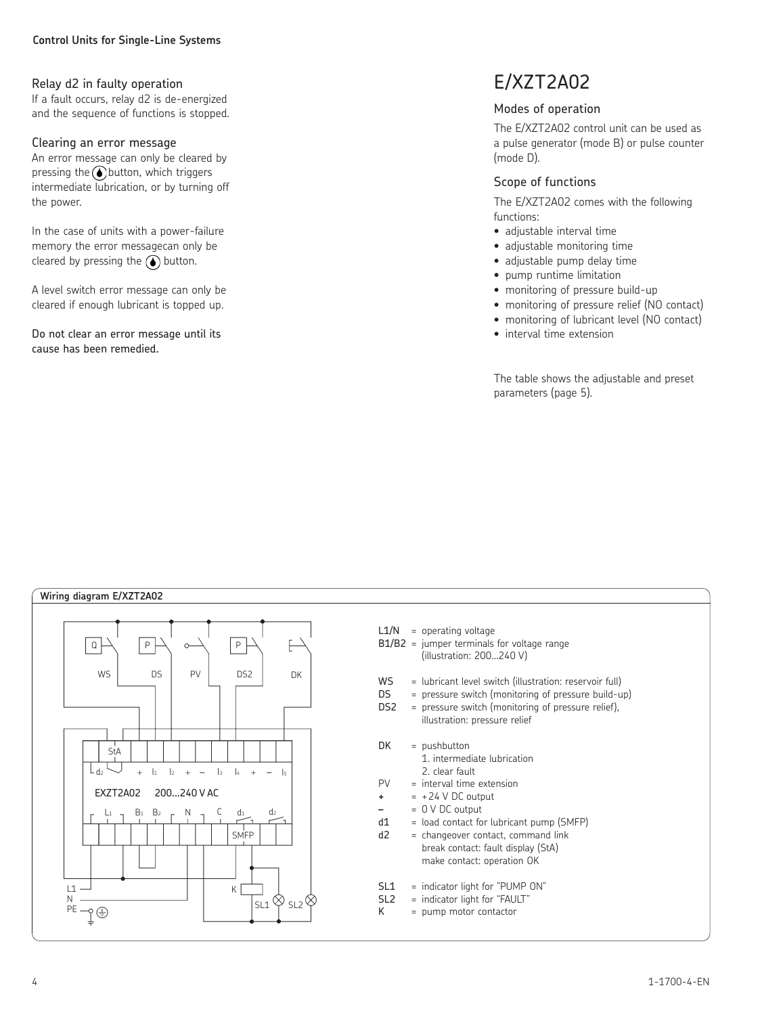# Relay d2 in faulty operation

If a fault occurs, relay d2 is de-energized and the sequence of functions is stopped.

#### Clearing an error message

An error message can only be cleared by pressing the  $\bigodot$  button, which triggers intermediate lubrication, or by turning off the power.

In the case of units with a power-failure memory the error messagecan only be cleared by pressing the  $\bigodot$  button.

A level switch error message can only be cleared if enough lubricant is topped up.

Do not clear an error message until its cause has been remedied.

# E/XZT2A02

# Modes of operation

The E/XZT2A02 control unit can be used as a pulse generator (mode B) or pulse counter (mode D).

# Scope of functions

The E/XZT2A02 comes with the following functions:

- adjustable interval time
- adjustable monitoring time
- adjustable pump delay time
- pump runtime limitation
- monitoring of pressure build-up
- monitoring of pressure relief (NO contact)
- monitoring of lubricant level (NO contact)
- interval time extension

The table shows the adjustable and preset parameters (page 5).

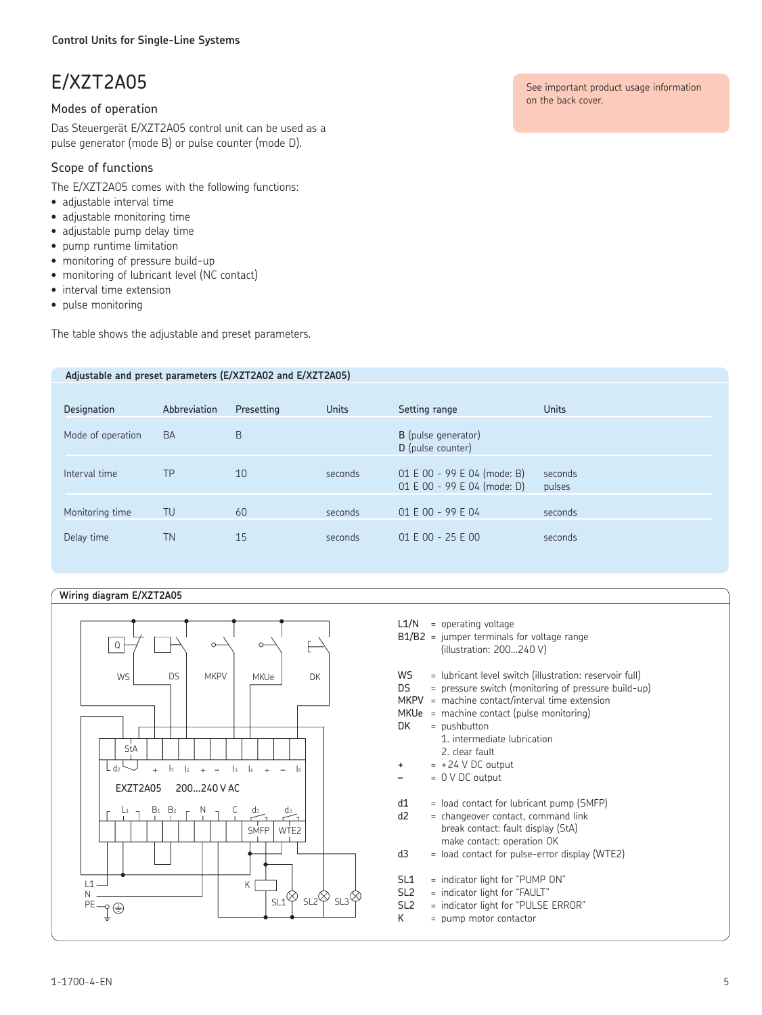# E/XZT2A05

# Modes of operation

Das Steuergerät E/XZT2A05 control unit can be used as a pulse generator (mode B) or pulse counter (mode D).

# Scope of functions

The E/XZT2A05 comes with the following functions:

- adjustable interval time
- adjustable monitoring time
- adjustable pump delay time
- pump runtime limitation
- monitoring of pressure build-up
- monitoring of lubricant level (NC contact)
- interval time extension
- pulse monitoring

The table shows the adjustable and preset parameters.

#### **Adjustable and preset parameters (E/XZT2A02 and E/XZT2A05)**

| Designation       | Abbreviation | Presetting | <b>Units</b> | Setting range                                              | <b>Units</b>      |
|-------------------|--------------|------------|--------------|------------------------------------------------------------|-------------------|
| Mode of operation | <b>BA</b>    | B          |              | <b>B</b> (pulse generator)<br>D (pulse counter)            |                   |
| Interval time     | ТP           | 10         | seconds      | 01 E 00 - 99 E 04 (mode: B)<br>01 E 00 - 99 E 04 (mode: D) | seconds<br>pulses |
| Monitoring time   | TU           | 60         | seconds      | 01 E 00 - 99 E 04                                          | seconds           |
| Delay time        | ΤN           | 15         | seconds      | $01 E 00 - 25 E 00$                                        | seconds           |

#### **Wiring diagram E/XZT2A05**



- $L1/N$  = operating voltage
- B1/B2 = jumper terminals for voltage range (illustration: 200…240 V)
- WS = lubricant level switch (illustration: reservoir full)
- DS = pressure switch (monitoring of pressure build-up)
- MKPV = machine contact/interval time extension
- MKUe = machine contact (pulse monitoring)
- $DK = pushbutton$ 
	- 1. intermediate lubrication 2. clear fault
- **+** = +24 V DC output
- **–** = 0 V DC output
- 
- $d1 =$  load contact for lubricant pump (SMFP) d2 = changeover contact, command link
	- break contact: fault display (StA) make contact: operation OK
- d3 = load contact for pulse-error display (WTE2)
- SL1 = indicator light for "PUMP ON"
- $SL2$  = indicator light for "FAULT"<br> $SL2$  = indicator light for "PULSE
- = indicator light for "PULSE ERROR"
- $K = pump motor contactor$

See important product usage information on the back cover.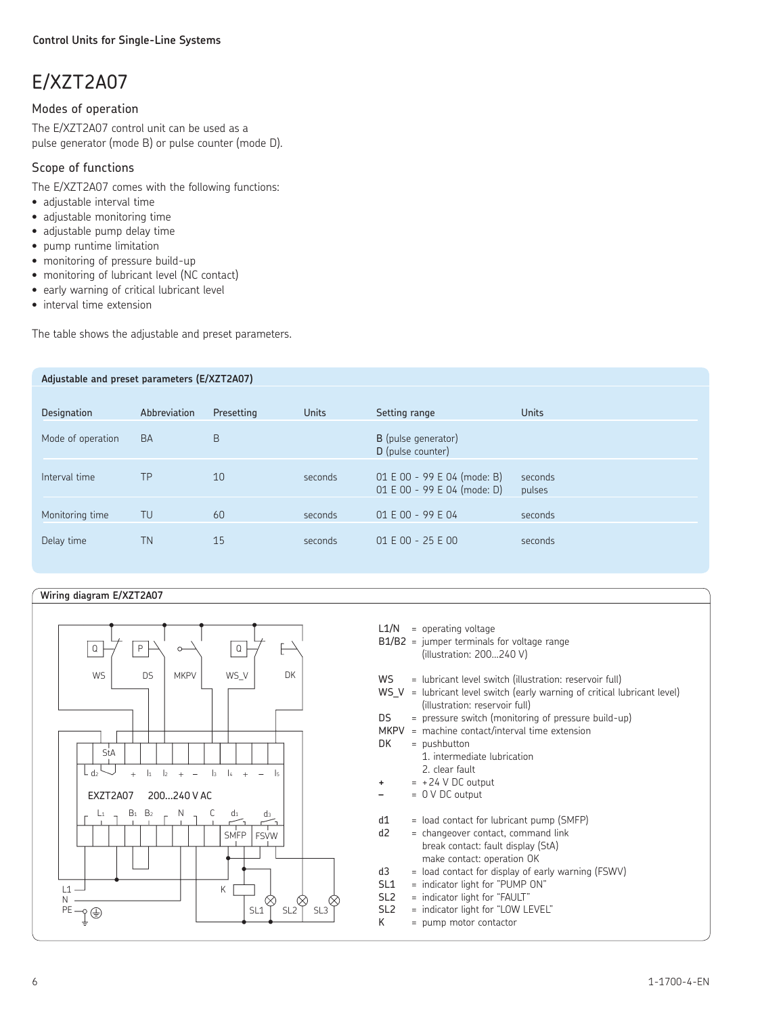# E/XZT2A07

# Modes of operation

The E/XZT2A07 control unit can be used as a pulse generator (mode B) or pulse counter (mode D).

# Scope of functions

The E/XZT2A07 comes with the following functions:

- adjustable interval time
- adjustable monitoring time
- adjustable pump delay time
- pump runtime limitation
- monitoring of pressure build-up
- monitoring of lubricant level (NC contact)
- early warning of critical lubricant level
- interval time extension

The table shows the adjustable and preset parameters.

| Adjustable and preset parameters (E/XZT2A07) |              |            |              |                                                            |                   |
|----------------------------------------------|--------------|------------|--------------|------------------------------------------------------------|-------------------|
|                                              |              |            |              |                                                            |                   |
| Designation                                  | Abbreviation | Presetting | <b>Units</b> | Setting range                                              | <b>Units</b>      |
| Mode of operation                            | <b>BA</b>    | B          |              | B (pulse generator)<br>D (pulse counter)                   |                   |
| Interval time                                | TP           | 10         | seconds      | 01 E 00 - 99 E 04 (mode: B)<br>01 E 00 - 99 E 04 (mode: D) | seconds<br>pulses |
| Monitoring time                              | TU           | 60         | seconds      | 01 E 00 - 99 E 04                                          | seconds           |
| Delay time                                   | <b>TN</b>    | 15         | seconds      | $01 E 00 - 25 E 00$                                        | seconds           |

#### **Wiring diagram E/XZT2A07**



- $L1/N$  = operating voltage
- B1/B2 = jumper terminals for voltage range (illustration: 200…240 V)
- WS = lubricant level switch (illustration: reservoir full)
- $WS_V =$  lubricant level switch (early warning of critical lubricant level) (illustration: reservoir full)
- DS = pressure switch (monitoring of pressure build-up)
- MKPV = machine contact/interval time extension
- $DK = pushbutton$
- 1. intermediate lubrication 2. clear fault
- $= +24$  V DC output
- **–** = 0 V DC output
- $d1 =$  load contact for lubricant pump (SMFP)
- d2 = changeover contact, command link break contact: fault display (StA) make contact: operation OK
- $d3 =$  load contact for display of early warning (FSWV)<br> $SL1 =$  indicator light for "PUMP ON"
	- $=$  indicator light for "PUMP ON"
- SL2 = indicator light for "FAULT"
- SL2 = indicator light for "LOW LEVEL"  $K = pump motor contactor$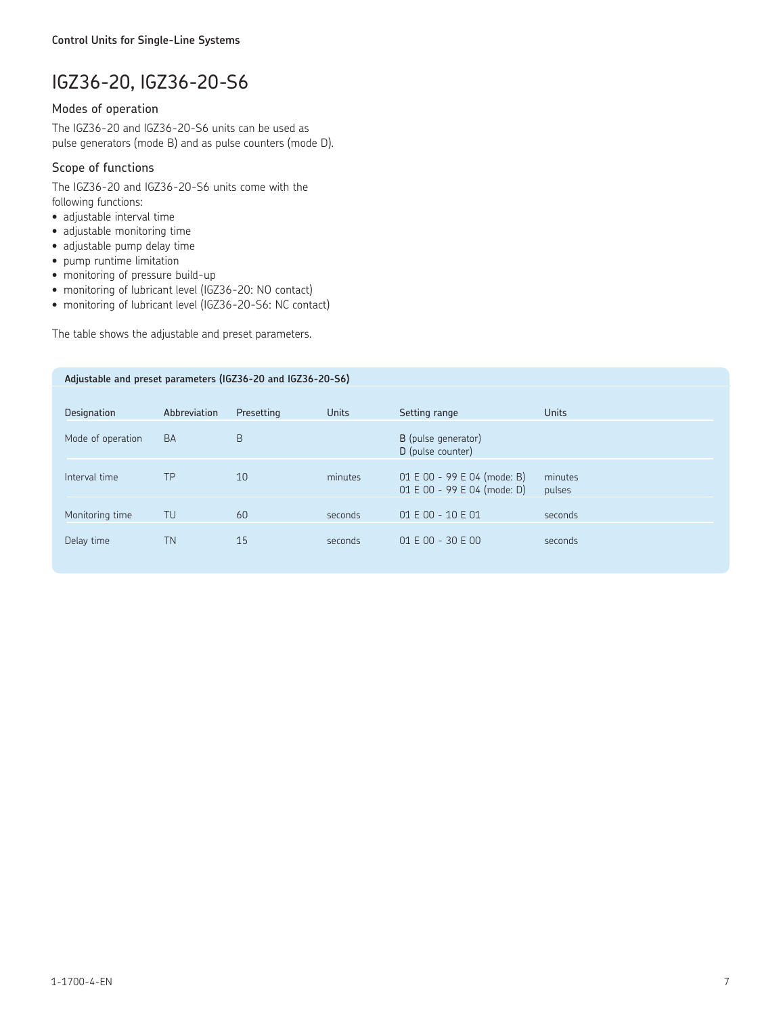# IGZ36-20, IGZ36-20-S6

# Modes of operation

The IGZ36-20 and IGZ36-20-S6 units can be used as pulse generators (mode B) and as pulse counters (mode D).

# Scope of functions

The IGZ36-20 and IGZ36-20-S6 units come with the following functions:

- adjustable interval time
- adjustable monitoring time
- adjustable pump delay time
- pump runtime limitation
- monitoring of pressure build-up
- monitoring of lubricant level (IGZ36-20: NO contact)
- monitoring of lubricant level (IGZ36-20-S6: NC contact)

The table shows the adjustable and preset parameters.

| Adjustable and preset parameters (IGZ36-20 and IGZ36-20-S6) |              |            |              |                                                            |                   |
|-------------------------------------------------------------|--------------|------------|--------------|------------------------------------------------------------|-------------------|
|                                                             |              |            |              |                                                            |                   |
| Designation                                                 | Abbreviation | Presetting | <b>Units</b> | Setting range                                              | <b>Units</b>      |
| Mode of operation                                           | <b>BA</b>    | B          |              | B (pulse generator)<br>D (pulse counter)                   |                   |
| Interval time                                               | TP           | 10         | minutes      | 01 E 00 - 99 E 04 (mode: B)<br>01 E 00 - 99 E 04 (mode: D) | minutes<br>pulses |
| Monitoring time                                             | TU           | 60         | seconds      | 01 E 00 - 10 E 01                                          | seconds           |
| Delay time                                                  | <b>TN</b>    | 15         | seconds      | 01 E 00 - 30 E 00                                          | seconds           |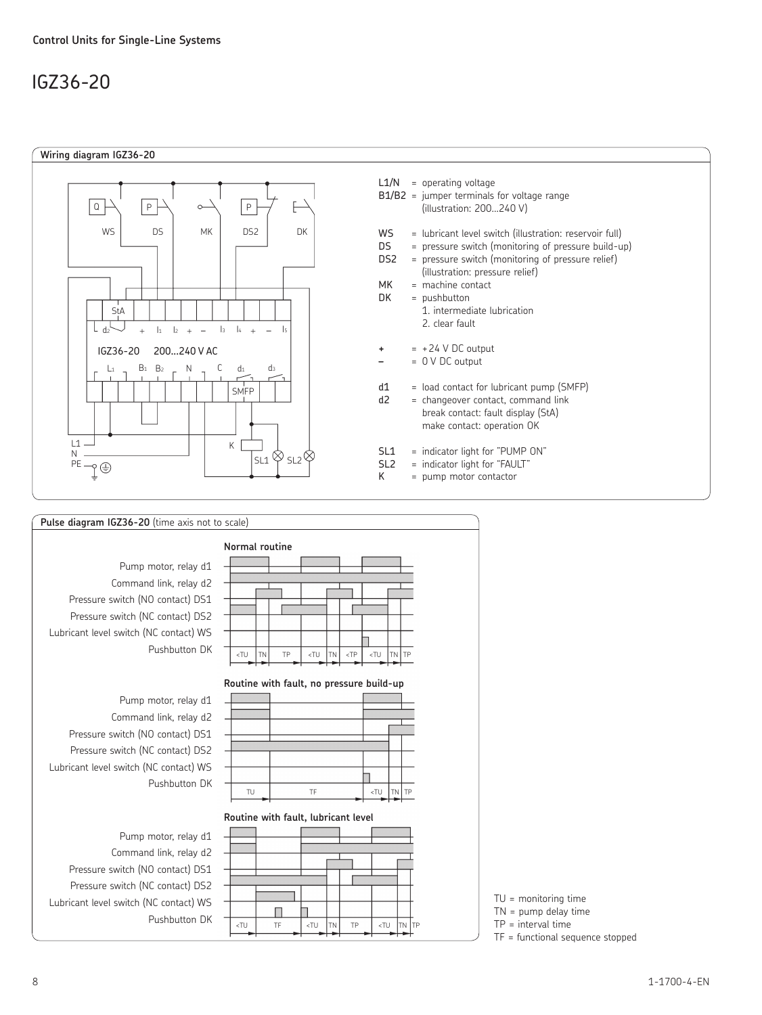# IGZ36-20





 $\lt t$ TU TF  $\lt t$ TU TN TP  $\lt t$ TU TN TP

Π

TU = monitoring time

TN = pump delay time

TP = interval time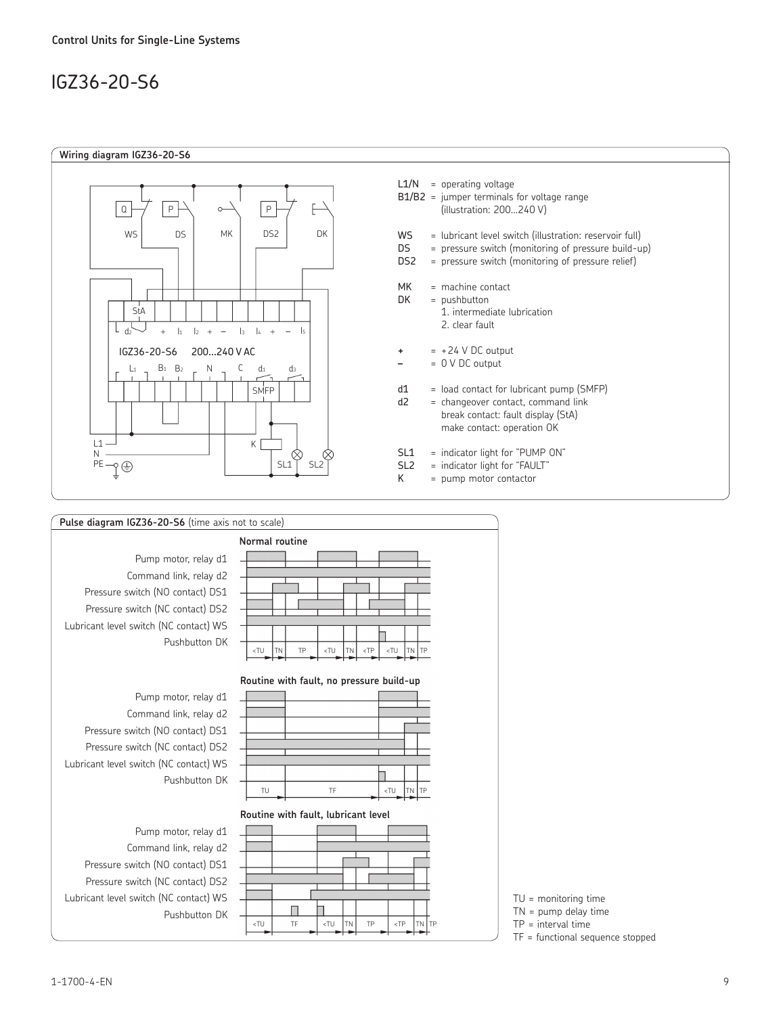# IGZ36-20-S6







TU = monitoring time

TN = pump delay time

TP = interval time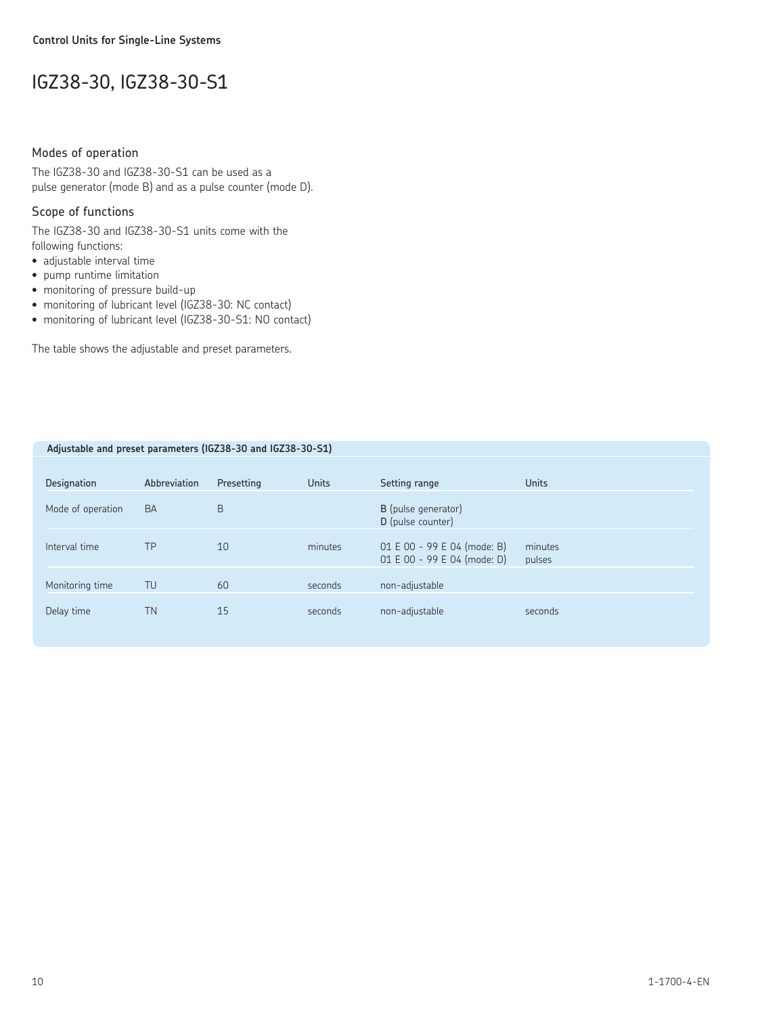# IGZ38-30, IGZ38-30-S1

## Modes of operation

The IGZ38-30 and IGZ38-30-S1 can be used as a pulse generator (mode B) and as a pulse counter (mode D).

## Scope of functions

The IGZ38-30 and IGZ38-30-S1 units come with the following functions:

- adjustable interval time
- pump runtime limitation
- monitoring of pressure build-up
- monitoring of lubricant level (IGZ38-30: NC contact)
- monitoring of lubricant level (IGZ38-30-S1: NO contact)

The table shows the adjustable and preset parameters.

| Adjustable and preset parameters (IGZ38-30 and IGZ38-30-S1) |              |            |              |                                                            |                   |
|-------------------------------------------------------------|--------------|------------|--------------|------------------------------------------------------------|-------------------|
|                                                             |              |            |              |                                                            |                   |
| Designation                                                 | Abbreviation | Presetting | <b>Units</b> | Setting range                                              | <b>Units</b>      |
| Mode of operation                                           | <b>BA</b>    | B          |              | B (pulse generator)<br>D (pulse counter)                   |                   |
| Interval time                                               | TP           | 10         | minutes      | 01 E 00 - 99 E 04 (mode: B)<br>01 E 00 - 99 E 04 (mode: D) | minutes<br>pulses |
| Monitoring time                                             | TU           | 60         | seconds      | non-adjustable                                             |                   |
| Delay time                                                  | <b>TN</b>    | 15         | seconds      | non-adjustable                                             | seconds           |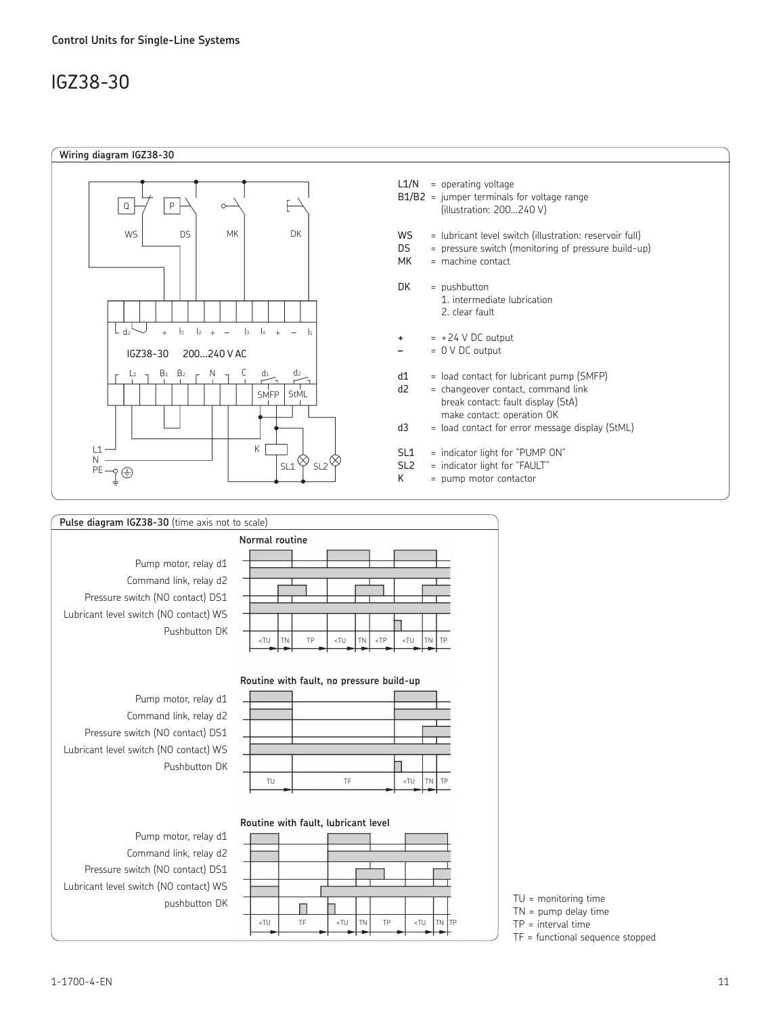# IGZ38-30



| Pulse diagram IGZ38-30 (time axis not to scale)                                                                                               |                                                                                                                          |
|-----------------------------------------------------------------------------------------------------------------------------------------------|--------------------------------------------------------------------------------------------------------------------------|
|                                                                                                                                               | Normal routine                                                                                                           |
| Pump motor, relay d1<br>Command link, relay d2<br>Pressure switch (NO contact) DS1<br>Lubricant level switch (NO contact) WS<br>Pushbutton DK | <tu<br><tu<br>TP<br/><tu<br><b>TN</b><br/>TP<br/><b>TN</b><br/><math>&lt;</math>TP<br/><b>TN</b></tu<br></tu<br></tu<br> |
|                                                                                                                                               | Routine with fault, no pressure build-up                                                                                 |
| Pump motor, relay d1<br>Command link, relay d2<br>Pressure switch (NO contact) DS1<br>Lubricant level switch (NO contact) WS                  |                                                                                                                          |
| Pushbutton DK                                                                                                                                 | TF<br><tu<br>TP<br/>TU<br/><b>TN</b></tu<br>                                                                             |
| Pump motor, relay d1                                                                                                                          | Routine with fault, lubricant level                                                                                      |

Command link, relay d2 Pressure switch (NO contact) DS1 Lubricant level switch (NO contact) WS



TN = pump delay time

TP = interval time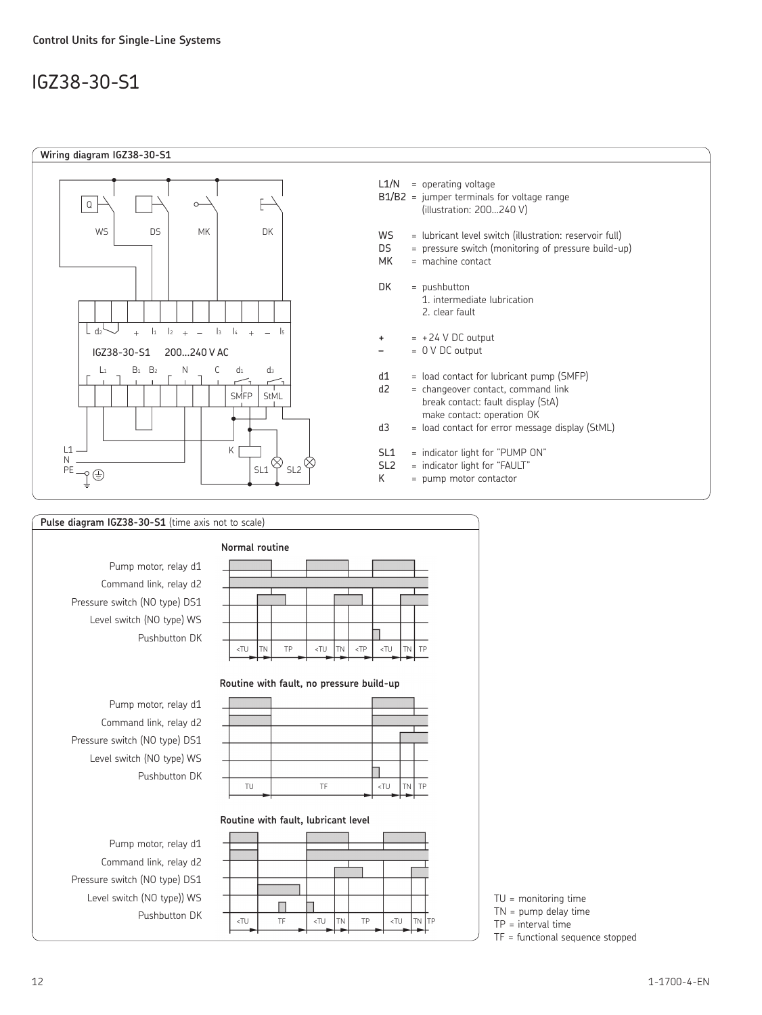# IGZ38-30-S1





Pushbutton DK

<TU TF <TU TN TP <TU TN TP

TU = monitoring time TN = pump delay time TP = interval time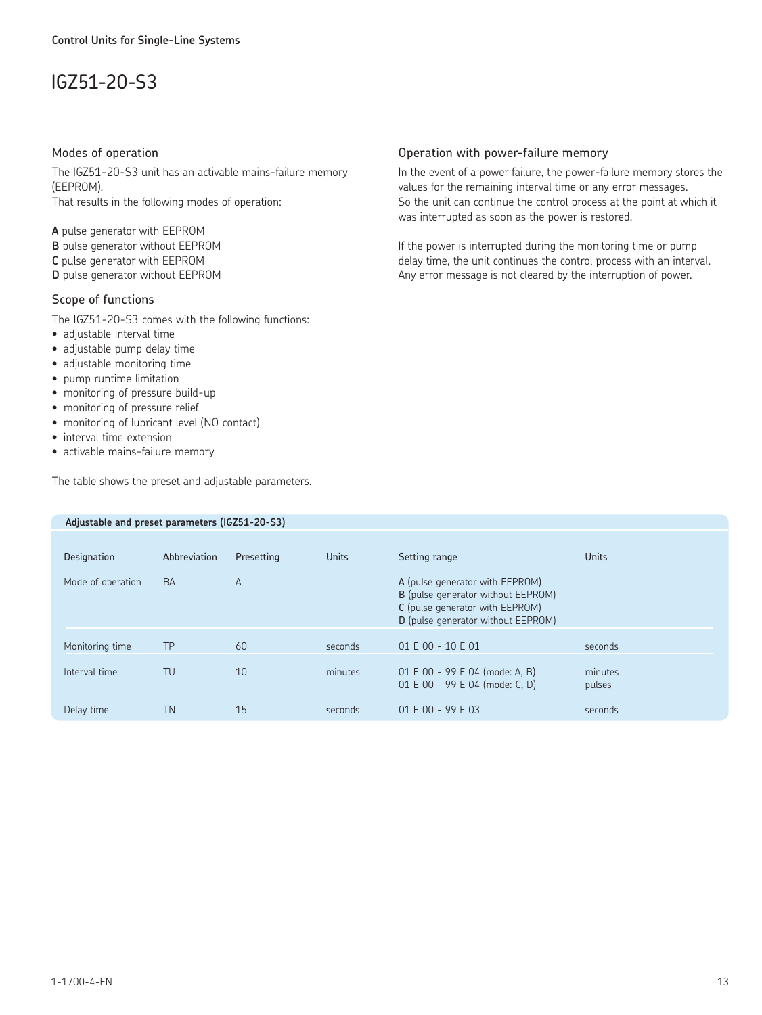# IGZ51-20-S3

#### Modes of operation

The IGZ51-20-S3 unit has an activable mains-failure memory (EEPROM). That results in the following modes of operation:

**A** pulse generator with EEPROM

- **B** pulse generator without EEPROM
- **C** pulse generator with EEPROM

**D** pulse generator without EEPROM

## Scope of functions

The IGZ51-20-S3 comes with the following functions:

- adjustable interval time
- adjustable pump delay time
- adjustable monitoring time
- pump runtime limitation
- monitoring of pressure build-up
- monitoring of pressure relief
- monitoring of lubricant level (NO contact)
- interval time extension
- activable mains-failure memory

The table shows the preset and adjustable parameters.

 **Adjustable and preset parameters (IGZ51-20-S3)**

## Operation with power-failure memory

In the event of a power failure, the power-failure memory stores the values for the remaining interval time or any error messages. So the unit can continue the control process at the point at which it was interrupted as soon as the power is restored.

If the power is interrupted during the monitoring time or pump delay time, the unit continues the control process with an interval. Any error message is not cleared by the interruption of power.

| Designation       | Abbreviation | Presetting     | Units   | Setting range                                                                                                                                  | <b>Units</b>      |
|-------------------|--------------|----------------|---------|------------------------------------------------------------------------------------------------------------------------------------------------|-------------------|
| Mode of operation | <b>BA</b>    | $\overline{A}$ |         | A (pulse generator with EEPROM)<br>B (pulse generator without EEPROM)<br>C (pulse generator with EEPROM)<br>D (pulse generator without EEPROM) |                   |
| Monitoring time   | <b>TP</b>    | 60             | seconds | 01 E 00 - 10 E 01                                                                                                                              | seconds           |
| Interval time     | TU           | 10             | minutes | 01 E 00 - 99 E 04 (mode: A, B)<br>01 E 00 - 99 E 04 (mode: C, D)                                                                               | minutes<br>pulses |
| Delay time        | TN           | 15             | seconds | $01 E 00 - 99 E 03$                                                                                                                            | seconds           |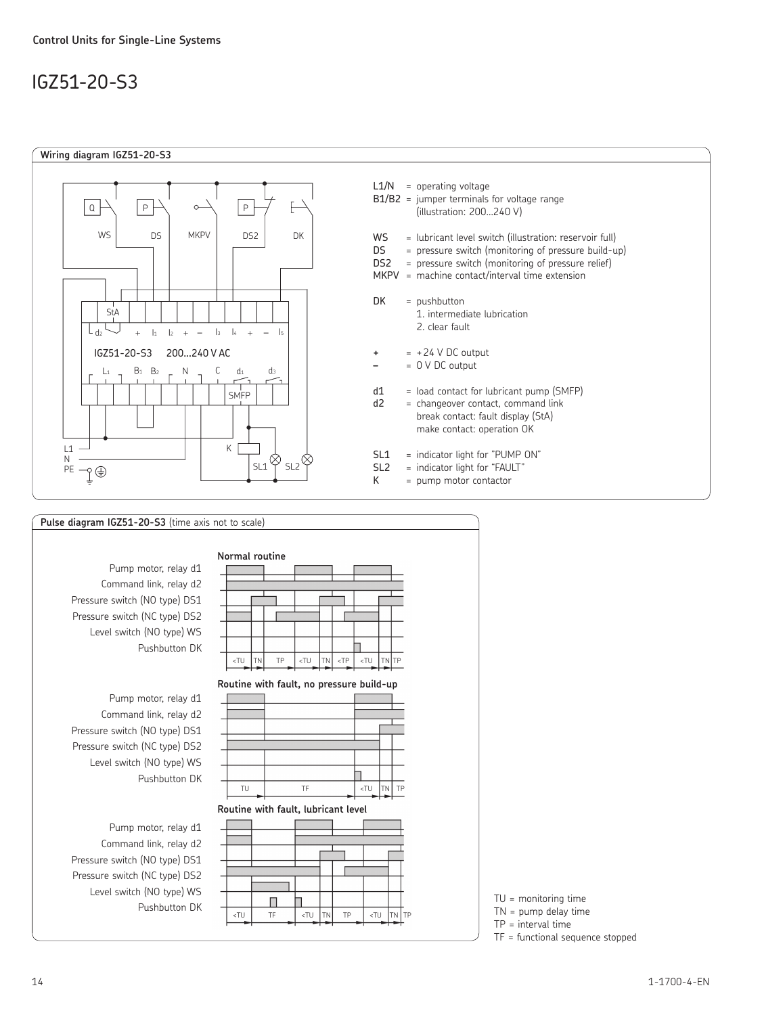# IGZ51-20-S3



# **Pulse diagram IGZ51-20-S3** (time axis not to scale) **Normal routine** Pump motor, relay d1 Command link, relay d2 Pressure switch (NO type) DS1 Pressure switch (NC type) DS2 Level switch (NO type) WS Pushbutton DK  $T$ U TN TP  $\left| \frac{1}{T} \right|$  TP  $\left| \frac{1}{T} \right|$  TN  $\left| \frac{1}{T} \right|$  TU  $\left| \frac{1}{T} \right|$ **Routine with fault, no pressure build-up** Pump motor, relay d1 Command link, relay d2 Pressure switch (NO type) DS1 Pressure switch (NC type) DS2 Level switch (NO type) WS ⊓ Pushbutton DK TU TF <TU TN TP **Routine with fault, lubricant level** Pump motor, relay d1 Command link, relay d2 Pressure switch (NO type) DS1 Pressure switch (NC type) DS2 Level switch (NO type) WS Pushbutton DK TU = monitoring time  $\left\{ T\left( \begin{array}{ccc} 1 & 0 \\ 0 & 1 \end{array} \right) \right\}$   $\left\{ T\left( \begin{array}{ccc} 1 & 0 \\ 0 & 1 \end{array} \right) \right\}$   $\left\{ T\left( \begin{array}{ccc} 1 & 0 \\ 0 & 1 \end{array} \right) \right\}$   $\left\{ T\left( \begin{array}{ccc} 1 & 0 \\ 0 & 1 \end{array} \right) \right\}$   $\left\{ T\left( \begin{array}{ccc} 1 & 0 \\ 0 & 1 \end{array} \right) \right\}$   $\left\{ T\left( \begin{array}{ccc}$

TN = pump delay time

TP = interval time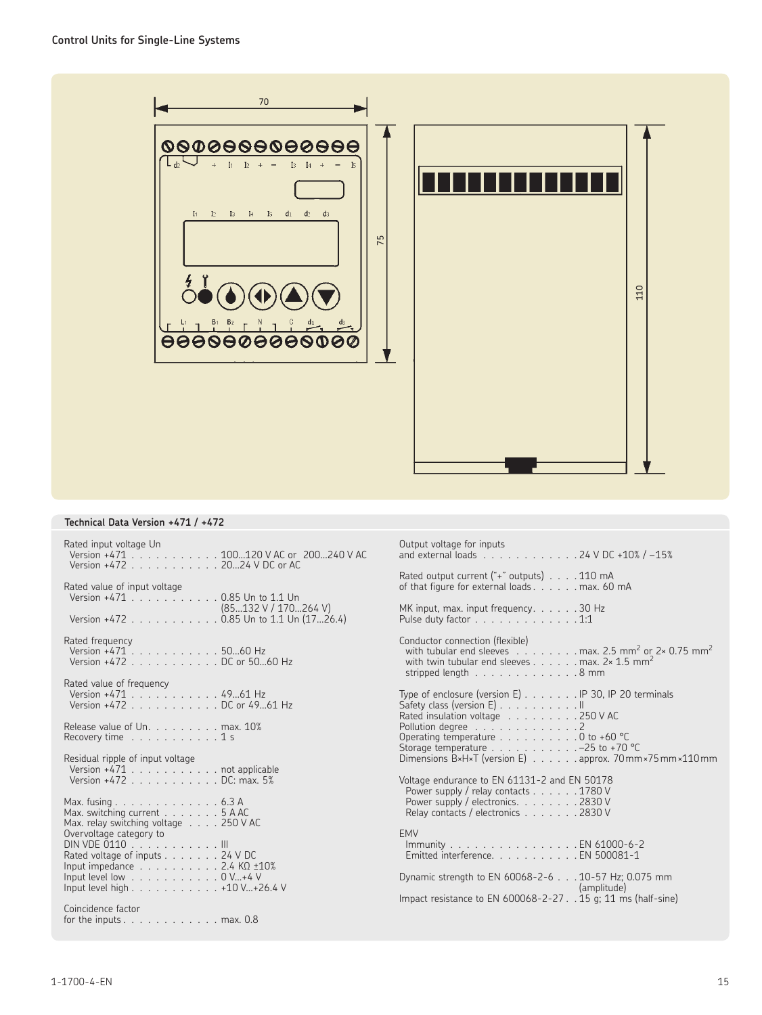

## **Technical Data Version +471 / +472**

| Rated input voltage Un<br>Version +471 100120 V AC or 200240 V AC<br>Version +472 2024 V DC or AC                                   | Output voltage for inputs<br>and external loads $\ldots$ , $\ldots$ , $\ldots$ , $\ldots$ , 24 V DC +10% / -15%                                                                                                                     |
|-------------------------------------------------------------------------------------------------------------------------------------|-------------------------------------------------------------------------------------------------------------------------------------------------------------------------------------------------------------------------------------|
| Rated value of input voltage<br>Version +471 0.85 Un to 1.1 Un                                                                      | Rated output current ("+" outputs) 110 mA<br>of that figure for external loads max. 60 mA                                                                                                                                           |
| (85132 V / 170264 V)<br>Version +472 0.85 Un to 1.1 Un $(1726.4)$                                                                   | MK input, max. input frequency. 30 Hz<br>Pulse duty factor $\ldots$ , $\ldots$ , $\ldots$ , $\ldots$ , $1:1$                                                                                                                        |
| Rated frequency<br>Version +471 5060 Hz<br>Version +472 DC or 5060 Hz                                                               | Conductor connection (flexible)<br>with tubular end sleeves $\ldots \ldots \ldots$ max. 2.5 mm <sup>2</sup> or 2× 0.75 mm <sup>2</sup><br>with twin tubular end sleeves max. $2 \times 1.5$ mm <sup>2</sup><br>stripped length 8 mm |
| Rated value of frequency<br>Version +471 4961 Hz<br>Version +472 DC or 4961 Hz                                                      | Type of enclosure (version E) IP 30, IP 20 terminals<br>Safety class (version E) II                                                                                                                                                 |
| Release value of Un. max. 10%<br>Recovery time $\ldots \ldots \ldots \ldots 1$ s                                                    | Rated insulation voltage 250 V AC<br>Pollution degree 2<br>Operating temperature 0 to +60 °C<br>Storage temperature $\ldots \ldots \ldots \ldots -25$ to +70 °C                                                                     |
| Residual ripple of input voltage<br>Version +471 not applicable<br>Version +472 DC: max. 5%                                         | Dimensions B×H×T (version E) approx. 70mm × 75 mm × 110 mm<br>Voltage endurance to EN 61131-2 and EN 50178<br>Power supply / relay contacts 1780 V                                                                                  |
| Max. fusing $\ldots \ldots \ldots \ldots \ldots 6.3$ A<br>Max. switching current 5 A AC<br>Max. relay switching voltage 250 V AC    | Power supply / electronics. 2830 V<br>Relay contacts / electronics 2830 V                                                                                                                                                           |
| Overvoltage category to<br>DIN VDE 0110 III<br>Rated voltage of inputs 24 V DC<br>Input impedance $\ldots$ 2.4 K $\Omega$ $\pm$ 10% | <b>EMV</b><br>Immunity EN 61000-6-2<br>Emitted interference. EN 500081-1                                                                                                                                                            |
| Input level low $\ldots$ 0 V+4 V<br>Input level high 410 V+26.4 V                                                                   | Dynamic strength to EN 60068-2-6 10-57 Hz; 0.075 mm<br>(amplitude)<br>Impact resistance to EN 600068-2-27. . 15 g; 11 ms (half-sine)                                                                                                |
| Coincidence factor<br>for the inputs $\dots$ $\dots$ $\dots$ $\dots$ $\dots$ $\dots$ max. 0.8                                       |                                                                                                                                                                                                                                     |